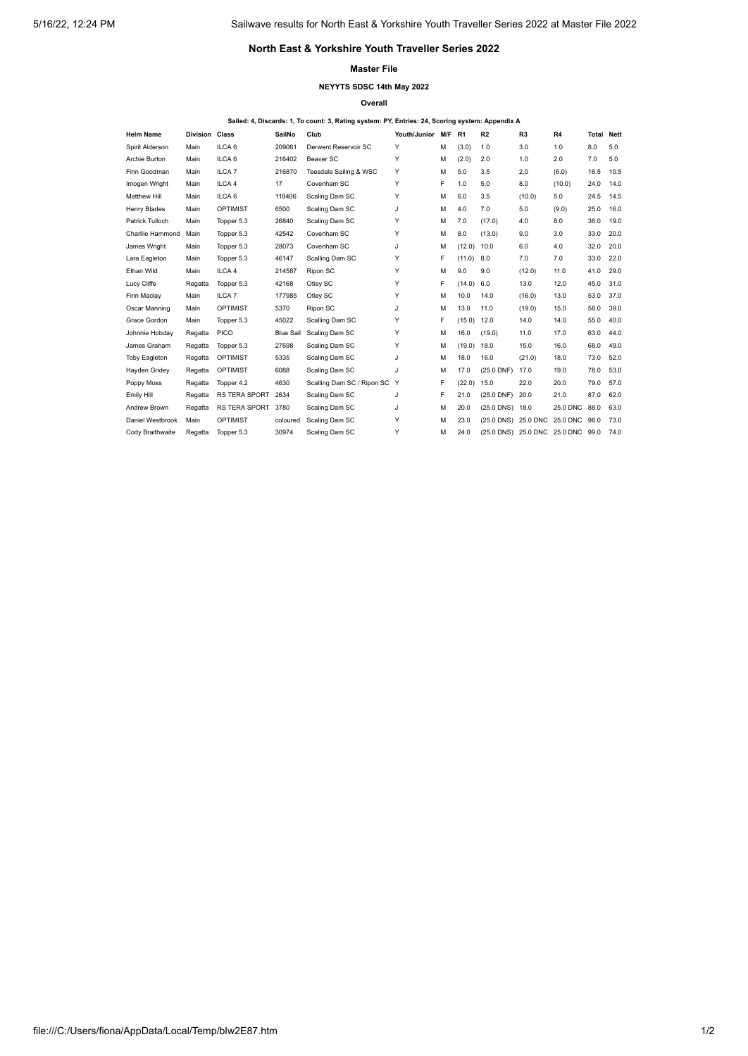# **North East & Yorkshire Youth Traveller Series 2022**

### **Master File**

## **NEYYTS SDSC 14th May 2022**

**Overall**

### **Sailed: 4, Discards: 1, To count: 3, Rating system: PY, Entries: 24, Scoring system: Appendix A**

| <b>Helm Name</b>        | <b>Division Class</b> |                      | SailNo           | Club                         | Youth/Junior M/F R1 |   |        | R2                           | R <sub>3</sub> | R4       | <b>Total Nett</b> |      |
|-------------------------|-----------------------|----------------------|------------------|------------------------------|---------------------|---|--------|------------------------------|----------------|----------|-------------------|------|
| Spirit Alderson         | Main                  | ILCA <sub>6</sub>    | 209061           | Derwent Reservoir SC         | Y                   | М | (3.0)  | 1.0                          | 3.0            | 1.0      | 8.0               | 5.0  |
| Archie Burton           | Main                  | ILCA <sub>6</sub>    | 216402           | Beaver SC                    | Y                   | М | (2.0)  | 2.0                          | 1.0            | 2.0      | 7.0               | 5.0  |
| Finn Goodman            | Main                  | ILCA <sub>7</sub>    | 216870           | Teesdale Sailing & WSC       | Y                   | М | 5.0    | 3.5                          | 2.0            | (6.0)    | 16.5              | 10.5 |
| Imogen Wright           | Main                  | ILCA <sub>4</sub>    | 17               | Covenham SC                  | Y                   | F | 1.0    | 5.0                          | 8.0            | (10.0)   | 24.0              | 14.0 |
| <b>Matthew Hill</b>     | Main                  | ILCA <sub>6</sub>    | 118406           | Scaling Dam SC               | Y                   | М | 6.0    | 3.5                          | (10.0)         | 5.0      | 24.5              | 14.5 |
| <b>Henry Blades</b>     | Main                  | <b>OPTIMIST</b>      | 6500             | Scaling Dam SC               | J                   | М | 4.0    | 7.0                          | 5.0            | (9.0)    | 25.0              | 16.0 |
| Patrick Tulloch         | Main                  | Topper 5.3           | 26840            | Scaling Dam SC               | Y                   | М | 7.0    | (17.0)                       | 4.0            | 8.0      | 36.0              | 19.0 |
| <b>Charllie Hammond</b> | Main                  | Topper 5.3           | 42542            | Covenham SC                  | Y                   | М | 8.0    | (13.0)                       | 9.0            | 3.0      | 33.0              | 20.0 |
| James Wright            | Main                  | Topper 5.3           | 28073            | Covenham SC                  | J                   | м | (12.0) | 10.0                         | 6.0            | 4.0      | 32.0              | 20.0 |
| Lara Eagleton           | Main                  | Topper 5.3           | 46147            | Scalling Dam SC              | Y                   | F | (11.0) | 8.0                          | 7.0            | 7.0      | 33.0              | 22.0 |
| Ethan Wild              | Main                  | ILCA <sub>4</sub>    | 214587           | Ripon SC                     | Y                   | М | 9.0    | 9.0                          | (12.0)         | 11.0     | 41.0              | 29.0 |
| Lucy Cliffe             | Regatta               | Topper 5.3           | 42168            | Otley SC                     | Y                   | F | (14.0) | 6.0                          | 13.0           | 12.0     | 45.0              | 31.0 |
| Finn Maclay             | Main                  | ILCA <sub>7</sub>    | 177985           | Otley SC                     | Y                   | М | 10.0   | 14.0                         | (16.0)         | 13.0     | 53.0              | 37.0 |
| Oscar Manning           | Main                  | <b>OPTIMIST</b>      | 5370             | Ripon SC                     | J                   | М | 13.0   | 11.0                         | (19.0)         | 15.0     | 58.0              | 39.0 |
| Grace Gordon            | Main                  | Topper 5.3           | 45022            | Scalling Dam SC              | Y                   | F | (15.0) | 12.0                         | 14.0           | 14.0     | 55.0              | 40.0 |
| Johnnie Hobday          | Regatta               | <b>PICO</b>          | <b>Blue Sail</b> | Scaling Dam SC               | Y                   | M | 16.0   | (19.0)                       | 11.0           | 17.0     | 63.0              | 44.0 |
| James Graham            | Regatta               | Topper 5.3           | 27698            | Scaling Dam SC               | Y                   | М | (19.0) | 18.0                         | 15.0           | 16.0     | 68.0              | 49.0 |
| <b>Toby Eagleton</b>    | Regatta               | <b>OPTIMIST</b>      | 5335             | Scaling Dam SC               | J                   | М | 18.0   | 16.0                         | (21.0)         | 18.0     | 73.0              | 52.0 |
| Hayden Gridey           | Regatta               | <b>OPTIMIST</b>      | 6088             | Scaling Dam SC               | J                   | М | 17.0   | $(25.0$ DNF)                 | 17.0           | 19.0     | 78.0              | 53.0 |
| Poppy Moss              | Regatta               | Topper 4.2           | 4630             | Scalling Dam SC / Ripon SC Y |                     | F | (22.0) | 15.0                         | 22.0           | 20.0     | 79.0              | 57.0 |
| <b>Emily Hill</b>       | Regatta               | <b>RS TERA SPORT</b> | 2634             | Scaling Dam SC               | J                   | F | 21.0   | $(25.0$ DNF)                 | 20.0           | 21.0     | 87.0              | 62.0 |
| Andrew Brown            | Regatta               | RS TERA SPORT        | 3780             | Scaling Dam SC               | J                   | М | 20.0   | (25.0 DNS) 18.0              |                | 25.0 DNC | 88.0              | 63.0 |
| Daniel Westbrook        | Main                  | <b>OPTIMIST</b>      | coloured         | Scaling Dam SC               | Y                   | м | 23.0   | $(25.0$ DNS)                 | 25.0 DNC       | 25.0 DNC | 98.0              | 73.0 |
| Cody Braithwaite        | Regatta               | Topper 5.3           | 30974            | Scaling Dam SC               | Y                   | М | 24.0   | (25.0 DNS) 25.0 DNC 25.0 DNC |                |          | 99.0              | 74.0 |